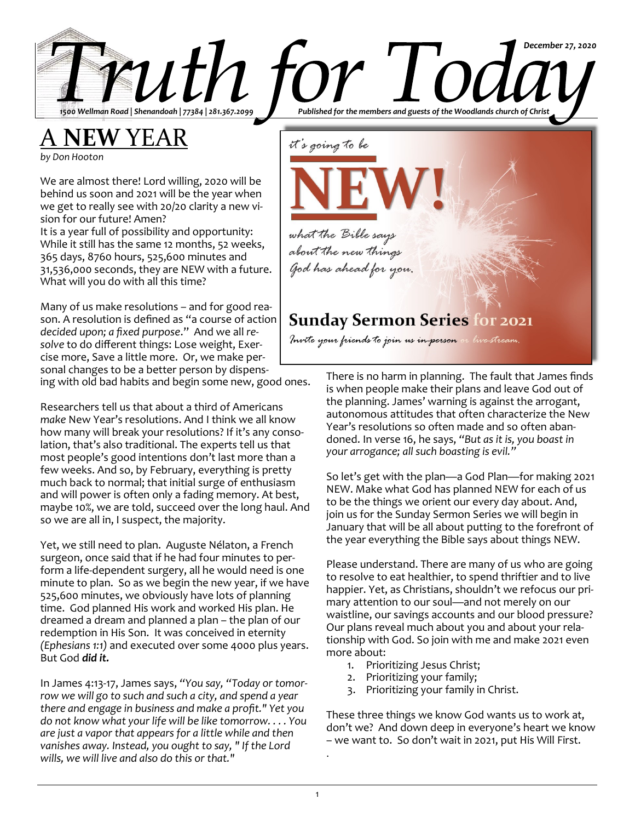A **NEW** YEAR

*by Don Hooton*

We are almost there! Lord willing, 2020 will be behind us soon and 2021 will be the year when we get to really see with 20/20 clarity a new vision for our future! Amen?

It is a year full of possibility and opportunity: While it still has the same 12 months, 52 weeks, 365 days, 8760 hours, 525,600 minutes and 31,536,000 seconds, they are NEW with a future. What will you do with all this time?

Many of us make resolutions – and for good reason. A resolution is defined as "a course of action *decided upon; a fixed purpose*." And we all *resolve* to do different things: Lose weight, Exercise more, Save a little more. Or, we make personal changes to be a better person by dispens-

ing with old bad habits and begin some new, good ones.

Researchers tell us that about a third of Americans *make* New Year's resolutions. And I think we all know how many will break your resolutions? If it's any consolation, that's also traditional. The experts tell us that most people's good intentions don't last more than a few weeks. And so, by February, everything is pretty much back to normal; that initial surge of enthusiasm and will power is often only a fading memory. At best, maybe 10%, we are told, succeed over the long haul. And so we are all in, I suspect, the majority.

Yet, we still need to plan. Auguste Nélaton, a French surgeon, once said that if he had four minutes to perform a life-dependent surgery, all he would need is one minute to plan. So as we begin the new year, if we have 525,600 minutes, we obviously have lots of planning time. God planned His work and worked His plan. He dreamed a dream and planned a plan – the plan of our redemption in His Son. It was conceived in eternity *(Ephesians 1:1)* and executed over some 4000 plus years. But God *did it.* 

In James 4:13-17, James says, *"You say, "Today or tomorrow we will go to such and such a city, and spend a year there and engage in business and make a profit." Yet you do not know what your life will be like tomorrow. . . . You are just a vapor that appears for a little while and then vanishes away. Instead, you ought to say, " If the Lord wills, we will live and also do this or that."* 



*December 27, 2020*

moite your friends to join us in person

There is no harm in planning. The fault that James finds is when people make their plans and leave God out of the planning. James' warning is against the arrogant, autonomous attitudes that often characterize the New Year's resolutions so often made and so often abandoned. In verse 16, he says, *"But as it is, you boast in your arrogance; all such boasting is evil."*

So let's get with the plan—a God Plan—for making 2021 NEW. Make what God has planned NEW for each of us to be the things we orient our every day about. And, join us for the Sunday Sermon Series we will begin in January that will be all about putting to the forefront of the year everything the Bible says about things NEW.

Please understand. There are many of us who are going to resolve to eat healthier, to spend thriftier and to live happier. Yet, as Christians, shouldn't we refocus our primary attention to our soul—and not merely on our waistline, our savings accounts and our blood pressure? Our plans reveal much about you and about your relationship with God. So join with me and make 2021 even more about:

- 1. Prioritizing Jesus Christ;
- 2. Prioritizing your family;
- 3. Prioritizing your family in Christ.

These three things we know God wants us to work at, don't we? And down deep in everyone's heart we know – we want to. So don't wait in 2021, put His Will First.

.